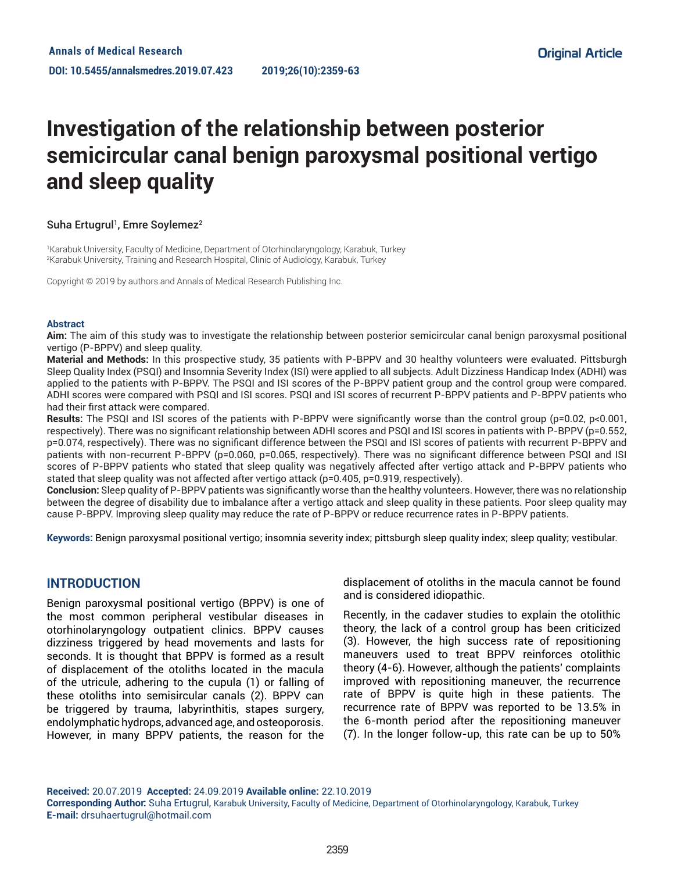# **Investigation of the relationship between posterior semicircular canal benign paroxysmal positional vertigo and sleep quality**

## Suha Ertugrul<sup>1</sup>, Emre Soylemez<sup>2</sup>

1 Karabuk University, Faculty of Medicine, Department of Otorhinolaryngology, Karabuk, Turkey 2 Karabuk University, Training and Research Hospital, Clinic of Audiology, Karabuk, Turkey

Copyright © 2019 by authors and Annals of Medical Research Publishing Inc.

#### **Abstract**

**Aim:** The aim of this study was to investigate the relationship between posterior semicircular canal benign paroxysmal positional vertigo (P-BPPV) and sleep quality.

**Material and Methods:** In this prospective study, 35 patients with P-BPPV and 30 healthy volunteers were evaluated. Pittsburgh Sleep Quality Index (PSQI) and Insomnia Severity Index (ISI) were applied to all subjects. Adult Dizziness Handicap Index (ADHI) was applied to the patients with P-BPPV. The PSQI and ISI scores of the P-BPPV patient group and the control group were compared. ADHI scores were compared with PSQI and ISI scores. PSQI and ISI scores of recurrent P-BPPV patients and P-BPPV patients who had their first attack were compared.

Results: The PSQI and ISI scores of the patients with P-BPPV were significantly worse than the control group (p=0.02, p<0.001, respectively). There was no significant relationship between ADHI scores and PSQI and ISI scores in patients with P-BPPV (p=0.552, p=0.074, respectively). There was no significant difference between the PSQI and ISI scores of patients with recurrent P-BPPV and patients with non-recurrent P-BPPV (p=0.060, p=0.065, respectively). There was no significant difference between PSQI and ISI scores of P-BPPV patients who stated that sleep quality was negatively affected after vertigo attack and P-BPPV patients who stated that sleep quality was not affected after vertigo attack (p=0.405, p=0.919, respectively).

**Conclusion:** Sleep quality of P-BPPV patients was significantly worse than the healthy volunteers. However, there was no relationship between the degree of disability due to imbalance after a vertigo attack and sleep quality in these patients. Poor sleep quality may cause P-BPPV. Improving sleep quality may reduce the rate of P-BPPV or reduce recurrence rates in P-BPPV patients.

**Keywords:** Benign paroxysmal positional vertigo; insomnia severity index; pittsburgh sleep quality index; sleep quality; vestibular.

## **INTRODUCTION**

Benign paroxysmal positional vertigo (BPPV) is one of the most common peripheral vestibular diseases in otorhinolaryngology outpatient clinics. BPPV causes dizziness triggered by head movements and lasts for seconds. It is thought that BPPV is formed as a result of displacement of the otoliths located in the macula of the utricule, adhering to the cupula (1) or falling of these otoliths into semisircular canals (2). BPPV can be triggered by trauma, labyrinthitis, stapes surgery, endolymphatic hydrops, advanced age, and osteoporosis. However, in many BPPV patients, the reason for the displacement of otoliths in the macula cannot be found and is considered idiopathic.

Recently, in the cadaver studies to explain the otolithic theory, the lack of a control group has been criticized (3). However, the high success rate of repositioning maneuvers used to treat BPPV reinforces otolithic theory (4-6). However, although the patients' complaints improved with repositioning maneuver, the recurrence rate of BPPV is quite high in these patients. The recurrence rate of BPPV was reported to be 13.5% in the 6-month period after the repositioning maneuver (7). In the longer follow-up, this rate can be up to 50%

**Received:** 20.07.2019 **Accepted:** 24.09.2019 **Available online:** 22.10.2019

**Corresponding Author:** Suha Ertugrul, Karabuk University, Faculty of Medicine, Department of Otorhinolaryngology, Karabuk, Turkey **E-mail:** drsuhaertugrul@hotmail.com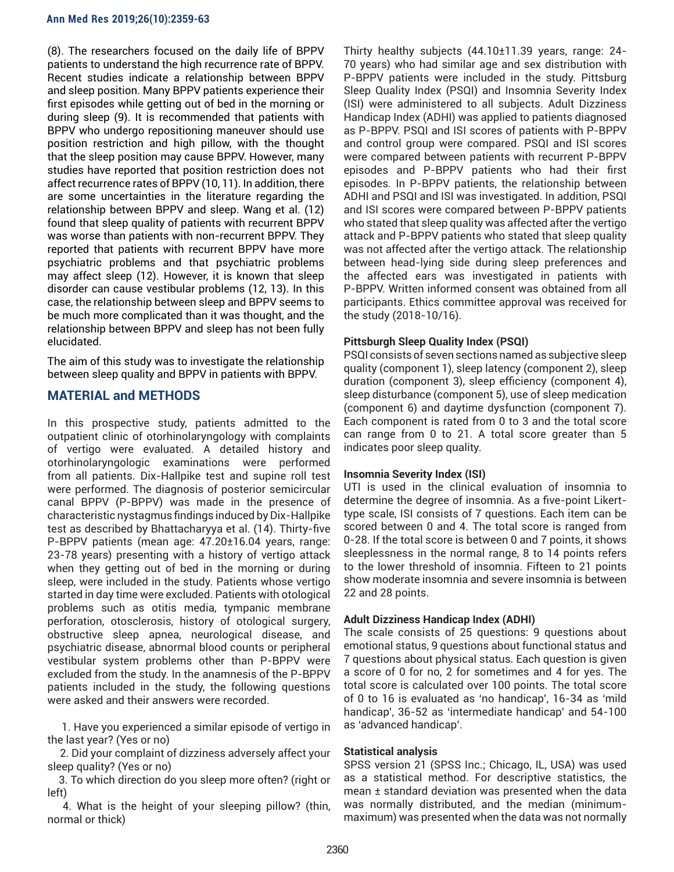(8). The researchers focused on the daily life of BPPV patients to understand the high recurrence rate of BPPV. Recent studies indicate a relationship between BPPV and sleep position. Many BPPV patients experience their first episodes while getting out of bed in the morning or during sleep (9). It is recommended that patients with BPPV who undergo repositioning maneuver should use position restriction and high pillow, with the thought that the sleep position may cause BPPV. However, many studies have reported that position restriction does not affect recurrence rates of BPPV (10, 11). In addition, there are some uncertainties in the literature regarding the relationship between BPPV and sleep. Wang et al. (12) found that sleep quality of patients with recurrent BPPV was worse than patients with non-recurrent BPPV. They reported that patients with recurrent BPPV have more psychiatric problems and that psychiatric problems may affect sleep (12). However, it is known that sleep disorder can cause vestibular problems (12, 13). In this case, the relationship between sleep and BPPV seems to be much more complicated than it was thought, and the relationship between BPPV and sleep has not been fully elucidated.

The aim of this study was to investigate the relationship between sleep quality and BPPV in patients with BPPV.

## **MATERIAL and METHODS**

In this prospective study, patients admitted to the outpatient clinic of otorhinolaryngology with complaints of vertigo were evaluated. A detailed history and otorhinolaryngologic examinations were performed from all patients. Dix-Hallpike test and supine roll test were performed. The diagnosis of posterior semicircular canal BPPV (P-BPPV) was made in the presence of characteristic nystagmus findings induced by Dix-Hallpike test as described by Bhattacharyya et al. (14). Thirty-five P-BPPV patients (mean age: 47.20±16.04 years, range: 23-78 years) presenting with a history of vertigo attack when they getting out of bed in the morning or during sleep, were included in the study. Patients whose vertigo started in day time were excluded. Patients with otological problems such as otitis media, tympanic membrane perforation, otosclerosis, history of otological surgery, obstructive sleep apnea, neurological disease, and psychiatric disease, abnormal blood counts or peripheral vestibular system problems other than P-BPPV were excluded from the study. In the anamnesis of the P-BPPV patients included in the study, the following questions were asked and their answers were recorded.

 1. Have you experienced a similar episode of vertigo in the last year? (Yes or no)

 2. Did your complaint of dizziness adversely affect your sleep quality? (Yes or no)

 3. To which direction do you sleep more often? (right or left)

 4. What is the height of your sleeping pillow? (thin, normal or thick)

Thirty healthy subjects (44.10±11.39 years, range: 24- 70 years) who had similar age and sex distribution with P-BPPV patients were included in the study. Pittsburg Sleep Quality Index (PSQI) and Insomnia Severity Index (ISI) were administered to all subjects. Adult Dizziness Handicap Index (ADHI) was applied to patients diagnosed as P-BPPV. PSQI and ISI scores of patients with P-BPPV and control group were compared. PSQI and ISI scores were compared between patients with recurrent P-BPPV episodes and P-BPPV patients who had their first episodes. In P-BPPV patients, the relationship between ADHI and PSQI and ISI was investigated. In addition, PSQI and ISI scores were compared between P-BPPV patients who stated that sleep quality was affected after the vertigo attack and P-BPPV patients who stated that sleep quality was not affected after the vertigo attack. The relationship between head-lying side during sleep preferences and the affected ears was investigated in patients with P-BPPV. Written informed consent was obtained from all participants. Ethics committee approval was received for the study (2018-10/16).

## **Pittsburgh Sleep Quality Index (PSQI)**

PSQI consists of seven sections named as subjective sleep quality (component 1), sleep latency (component 2), sleep duration (component 3), sleep efficiency (component 4), sleep disturbance (component 5), use of sleep medication (component 6) and daytime dysfunction (component 7). Each component is rated from 0 to 3 and the total score can range from 0 to 21. A total score greater than 5 indicates poor sleep quality.

## **Insomnia Severity Index (ISI)**

UTI is used in the clinical evaluation of insomnia to determine the degree of insomnia. As a five-point Likerttype scale, ISI consists of 7 questions. Each item can be scored between 0 and 4. The total score is ranged from 0-28. If the total score is between 0 and 7 points, it shows sleeplessness in the normal range, 8 to 14 points refers to the lower threshold of insomnia. Fifteen to 21 points show moderate insomnia and severe insomnia is between 22 and 28 points.

## **Adult Dizziness Handicap Index (ADHI)**

The scale consists of 25 questions: 9 questions about emotional status, 9 questions about functional status and 7 questions about physical status. Each question is given a score of 0 for no, 2 for sometimes and 4 for yes. The total score is calculated over 100 points. The total score of 0 to 16 is evaluated as 'no handicap', 16-34 as 'mild handicap', 36-52 as 'intermediate handicap' and 54-100 as 'advanced handicap'.

## **Statistical analysis**

SPSS version 21 (SPSS Inc.; Chicago, IL, USA) was used as a statistical method. For descriptive statistics, the mean ± standard deviation was presented when the data was normally distributed, and the median (minimummaximum) was presented when the data was not normally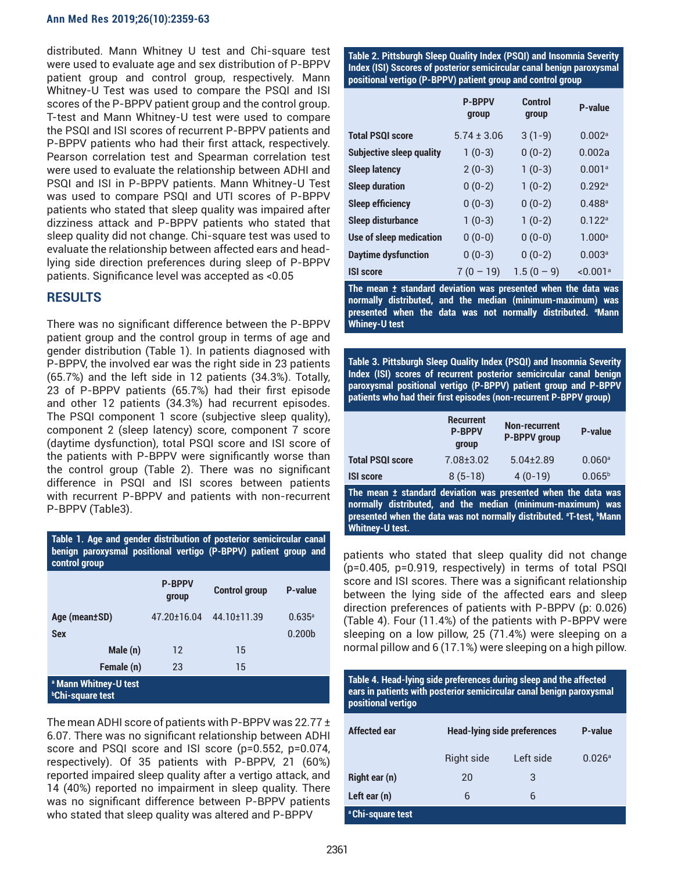#### **Ann Med Res 2019;26(10):2359-63**

distributed. Mann Whitney U test and Chi-square test were used to evaluate age and sex distribution of P-BPPV patient group and control group, respectively. Mann Whitney-U Test was used to compare the PSQI and ISI scores of the P-BPPV patient group and the control group. T-test and Mann Whitney-U test were used to compare the PSQI and ISI scores of recurrent P-BPPV patients and P-BPPV patients who had their first attack, respectively. Pearson correlation test and Spearman correlation test were used to evaluate the relationship between ADHI and PSQI and ISI in P-BPPV patients. Mann Whitney-U Test was used to compare PSQI and UTI scores of P-BPPV patients who stated that sleep quality was impaired after dizziness attack and P-BPPV patients who stated that sleep quality did not change. Chi-square test was used to evaluate the relationship between affected ears and headlying side direction preferences during sleep of P-BPPV patients. Significance level was accepted as <0.05

## **RESULTS**

There was no significant difference between the P-BPPV patient group and the control group in terms of age and gender distribution (Table 1). In patients diagnosed with P-BPPV, the involved ear was the right side in 23 patients (65.7%) and the left side in 12 patients (34.3%). Totally, 23 of P-BPPV patients (65.7%) had their first episode and other 12 patients (34.3%) had recurrent episodes. The PSQI component 1 score (subjective sleep quality), component 2 (sleep latency) score, component 7 score (daytime dysfunction), total PSQI score and ISI score of the patients with P-BPPV were significantly worse than the control group (Table 2). There was no significant difference in PSQI and ISI scores between patients with recurrent P-BPPV and patients with non-recurrent P-BPPV (Table3).

| benign paroxysmal positional vertigo (P-BPPV) patient group and<br>control group |                        |                      |                      |  |
|----------------------------------------------------------------------------------|------------------------|----------------------|----------------------|--|
|                                                                                  | <b>P-BPPV</b><br>group | <b>Control group</b> | <b>P-value</b>       |  |
| Age (mean±SD)                                                                    | 47.20±16.04            | 44.10±11.39          | $0.635$ <sup>a</sup> |  |
| <b>Sex</b>                                                                       |                        |                      | 0.200 <sub>b</sub>   |  |
| Male (n)                                                                         | 12                     | 15                   |                      |  |
| Female (n)                                                                       | 23                     | 15                   |                      |  |
| <sup>a</sup> Mann Whitney-U test<br><b><i>b</i>Chi-square test</b>               |                        |                      |                      |  |

**Table 1. Age and gender distribution of posterior semicircular canal** 

The mean ADHI score of patients with P-BPPV was 22.77 ± 6.07. There was no significant relationship between ADHI score and PSQI score and ISI score (p=0.552, p=0.074, respectively). Of 35 patients with P-BPPV, 21 (60%) reported impaired sleep quality after a vertigo attack, and 14 (40%) reported no impairment in sleep quality. There was no significant difference between P-BPPV patients who stated that sleep quality was altered and P-BPPV

**Table 2. Pittsburgh Sleep Quality Index (PSQI) and Insomnia Severity Index (ISI) Sscores of posterior semicircular canal benign paroxysmal positional vertigo (P-BPPV) patient group and control group**

|                            | <b>P-BPPV</b><br>group | Control<br>group | P-value              |
|----------------------------|------------------------|------------------|----------------------|
| <b>Total PSQI score</b>    | $5.74 \pm 3.06$        | $3(1-9)$         | 0.002a               |
| Subjective sleep quality   | $1(0-3)$               | $0(0-2)$         | 0.002a               |
| <b>Sleep latency</b>       | $2(0-3)$               | $1(0-3)$         | 0.001a               |
| <b>Sleep duration</b>      | $0(0-2)$               | $1(0-2)$         | 0.292a               |
| <b>Sleep efficiency</b>    | $0(0-3)$               | $0(0-2)$         | $0.488$ <sup>a</sup> |
| <b>Sleep disturbance</b>   | $1(0-3)$               | $1(0-2)$         | 0.122 <sup>a</sup>   |
| Use of sleep medication    | $0(0-0)$               | $0(0-0)$         | 1.000 <sup>a</sup>   |
| <b>Daytime dysfunction</b> | $0(0-3)$               | $0(0-2)$         | 0.003 <sup>a</sup>   |
| <b>ISI score</b>           | $7(0 - 19)$            | $1.5(0-9)$       | < 0.001a             |

**The mean ± standard deviation was presented when the data was normally distributed, and the median (minimum-maximum) was presented when the data was not normally distributed. a Mann Whiney-U test**

**Table 3. Pittsburgh Sleep Quality Index (PSQI) and Insomnia Severity Index (ISI) scores of recurrent posterior semicircular canal benign paroxysmal positional vertigo (P-BPPV) patient group and P-BPPV patients who had their first episodes (non-recurrent P-BPPV group)**

|                         | <b>Recurrent</b><br><b>P-BPPV</b><br>group | <b>Non-recurrent</b><br><b>P-BPPV</b> group | P-value              |
|-------------------------|--------------------------------------------|---------------------------------------------|----------------------|
| <b>Total PSQI score</b> | $7.08 \pm 3.02$                            | $5.04 + 2.89$                               | $0.060$ <sup>a</sup> |
| <b>ISI score</b>        | $8(5-18)$                                  | $4(0-19)$                                   | $0.065^{\rm b}$      |

**The mean ± standard deviation was presented when the data was normally distributed, and the median (minimum-maximum) was presented when the data was not normally distributed. a T-test, b Mann Whitney-U test.**

patients who stated that sleep quality did not change (p=0.405, p=0.919, respectively) in terms of total PSQI score and ISI scores. There was a significant relationship between the lying side of the affected ears and sleep direction preferences of patients with P-BPPV (p: 0.026) (Table 4). Four (11.4%) of the patients with P-BPPV were sleeping on a low pillow, 25 (71.4%) were sleeping on a normal pillow and 6 (17.1%) were sleeping on a high pillow.

**Table 4. Head-lying side preferences during sleep and the affected ears in patients with posterior semicircular canal benign paroxysmal positional vertigo**

| Affected ear                 | <b>Head-lying side preferences</b> |           | <b>P-value</b> |
|------------------------------|------------------------------------|-----------|----------------|
|                              | Right side                         | Left side | 0.026a         |
| <b>Right ear (n)</b>         | 20                                 | 3         |                |
| Left ear (n)                 | 6                                  | 6         |                |
| <sup>a</sup> Chi-square test |                                    |           |                |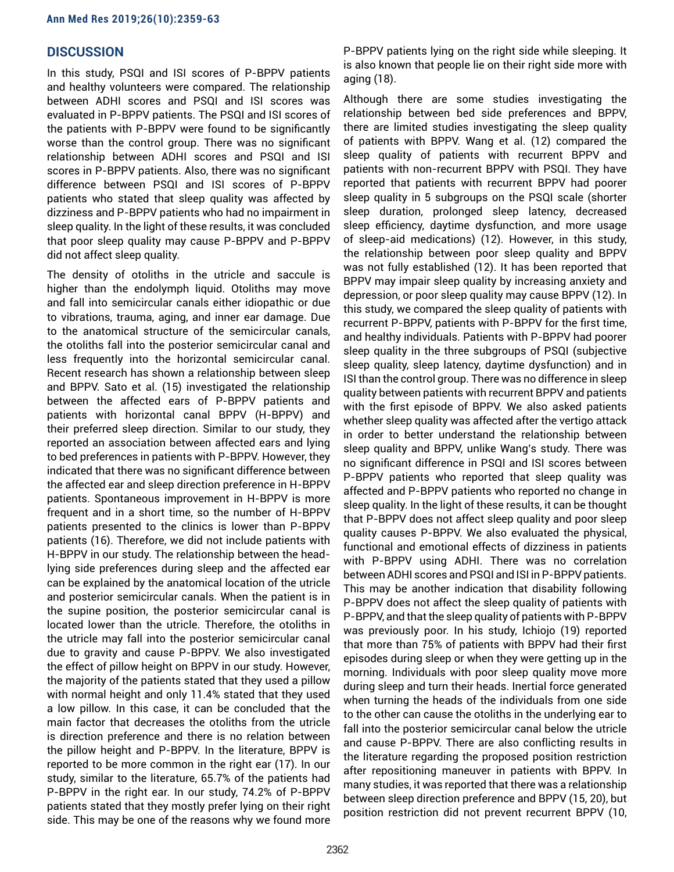## **DISCUSSION**

In this study, PSQI and ISI scores of P-BPPV patients and healthy volunteers were compared. The relationship between ADHI scores and PSQI and ISI scores was evaluated in P-BPPV patients. The PSQI and ISI scores of the patients with P-BPPV were found to be significantly worse than the control group. There was no significant relationship between ADHI scores and PSQI and ISI scores in P-BPPV patients. Also, there was no significant difference between PSQI and ISI scores of P-BPPV patients who stated that sleep quality was affected by dizziness and P-BPPV patients who had no impairment in sleep quality. In the light of these results, it was concluded that poor sleep quality may cause P-BPPV and P-BPPV did not affect sleep quality.

The density of otoliths in the utricle and saccule is higher than the endolymph liquid. Otoliths may move and fall into semicircular canals either idiopathic or due to vibrations, trauma, aging, and inner ear damage. Due to the anatomical structure of the semicircular canals, the otoliths fall into the posterior semicircular canal and less frequently into the horizontal semicircular canal. Recent research has shown a relationship between sleep and BPPV. Sato et al. (15) investigated the relationship between the affected ears of P-BPPV patients and patients with horizontal canal BPPV (H-BPPV) and their preferred sleep direction. Similar to our study, they reported an association between affected ears and lying to bed preferences in patients with P-BPPV. However, they indicated that there was no significant difference between the affected ear and sleep direction preference in H-BPPV patients. Spontaneous improvement in H-BPPV is more frequent and in a short time, so the number of H-BPPV patients presented to the clinics is lower than P-BPPV patients (16). Therefore, we did not include patients with H-BPPV in our study. The relationship between the headlying side preferences during sleep and the affected ear can be explained by the anatomical location of the utricle and posterior semicircular canals. When the patient is in the supine position, the posterior semicircular canal is located lower than the utricle. Therefore, the otoliths in the utricle may fall into the posterior semicircular canal due to gravity and cause P-BPPV. We also investigated the effect of pillow height on BPPV in our study. However, the majority of the patients stated that they used a pillow with normal height and only 11.4% stated that they used a low pillow. In this case, it can be concluded that the main factor that decreases the otoliths from the utricle is direction preference and there is no relation between the pillow height and P-BPPV. In the literature, BPPV is reported to be more common in the right ear (17). In our study, similar to the literature, 65.7% of the patients had P-BPPV in the right ear. In our study, 74.2% of P-BPPV patients stated that they mostly prefer lying on their right side. This may be one of the reasons why we found more

P-BPPV patients lying on the right side while sleeping. It is also known that people lie on their right side more with aging (18).

Although there are some studies investigating the relationship between bed side preferences and BPPV, there are limited studies investigating the sleep quality of patients with BPPV. Wang et al. (12) compared the sleep quality of patients with recurrent BPPV and patients with non-recurrent BPPV with PSQI. They have reported that patients with recurrent BPPV had poorer sleep quality in 5 subgroups on the PSQI scale (shorter sleep duration, prolonged sleep latency, decreased sleep efficiency, daytime dysfunction, and more usage of sleep-aid medications) (12). However, in this study, the relationship between poor sleep quality and BPPV was not fully established (12). It has been reported that BPPV may impair sleep quality by increasing anxiety and depression, or poor sleep quality may cause BPPV (12). In this study, we compared the sleep quality of patients with recurrent P-BPPV, patients with P-BPPV for the first time, and healthy individuals. Patients with P-BPPV had poorer sleep quality in the three subgroups of PSQI (subjective sleep quality, sleep latency, daytime dysfunction) and in ISI than the control group. There was no difference in sleep quality between patients with recurrent BPPV and patients with the first episode of BPPV. We also asked patients whether sleep quality was affected after the vertigo attack in order to better understand the relationship between sleep quality and BPPV, unlike Wang's study. There was no significant difference in PSQI and ISI scores between P-BPPV patients who reported that sleep quality was affected and P-BPPV patients who reported no change in sleep quality. In the light of these results, it can be thought that P-BPPV does not affect sleep quality and poor sleep quality causes P-BPPV. We also evaluated the physical, functional and emotional effects of dizziness in patients with P-BPPV using ADHI. There was no correlation between ADHI scores and PSQI and ISI in P-BPPV patients. This may be another indication that disability following P-BPPV does not affect the sleep quality of patients with P-BPPV, and that the sleep quality of patients with P-BPPV was previously poor. In his study, Ichiojo (19) reported that more than 75% of patients with BPPV had their first episodes during sleep or when they were getting up in the morning. Individuals with poor sleep quality move more during sleep and turn their heads. Inertial force generated when turning the heads of the individuals from one side to the other can cause the otoliths in the underlying ear to fall into the posterior semicircular canal below the utricle and cause P-BPPV. There are also conflicting results in the literature regarding the proposed position restriction after repositioning maneuver in patients with BPPV. In many studies, it was reported that there was a relationship between sleep direction preference and BPPV (15, 20), but position restriction did not prevent recurrent BPPV (10,